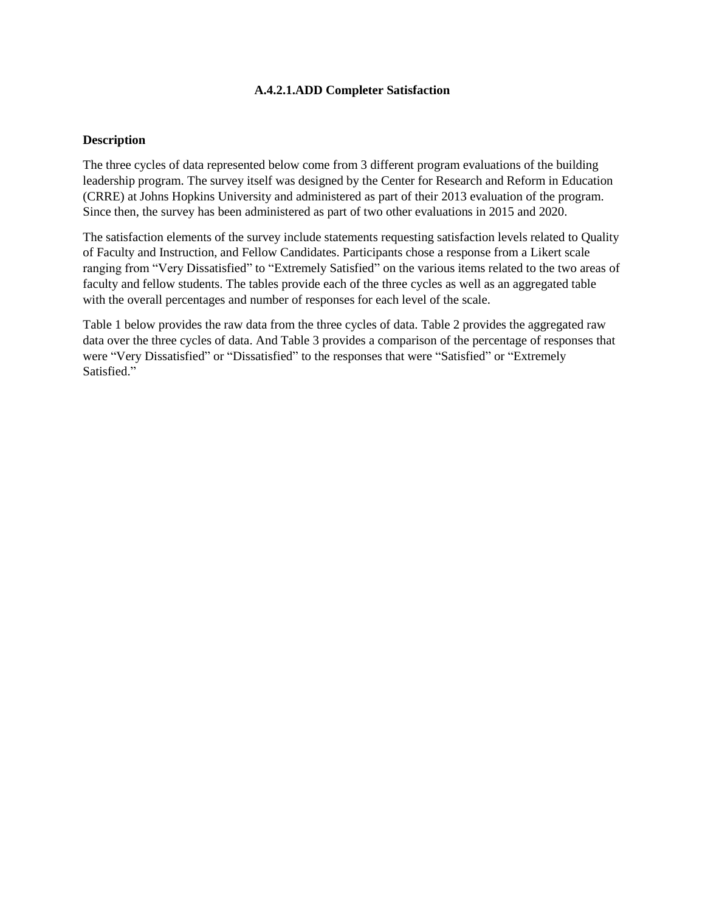# **A.4.2.1.ADD Completer Satisfaction**

# **Description**

The three cycles of data represented below come from 3 different program evaluations of the building leadership program. The survey itself was designed by the Center for Research and Reform in Education (CRRE) at Johns Hopkins University and administered as part of their 2013 evaluation of the program. Since then, the survey has been administered as part of two other evaluations in 2015 and 2020.

The satisfaction elements of the survey include statements requesting satisfaction levels related to Quality of Faculty and Instruction, and Fellow Candidates. Participants chose a response from a Likert scale ranging from "Very Dissatisfied" to "Extremely Satisfied" on the various items related to the two areas of faculty and fellow students. The tables provide each of the three cycles as well as an aggregated table with the overall percentages and number of responses for each level of the scale.

Table 1 below provides the raw data from the three cycles of data. Table 2 provides the aggregated raw data over the three cycles of data. And Table 3 provides a comparison of the percentage of responses that were "Very Dissatisfied" or "Dissatisfied" to the responses that were "Satisfied" or "Extremely Satisfied."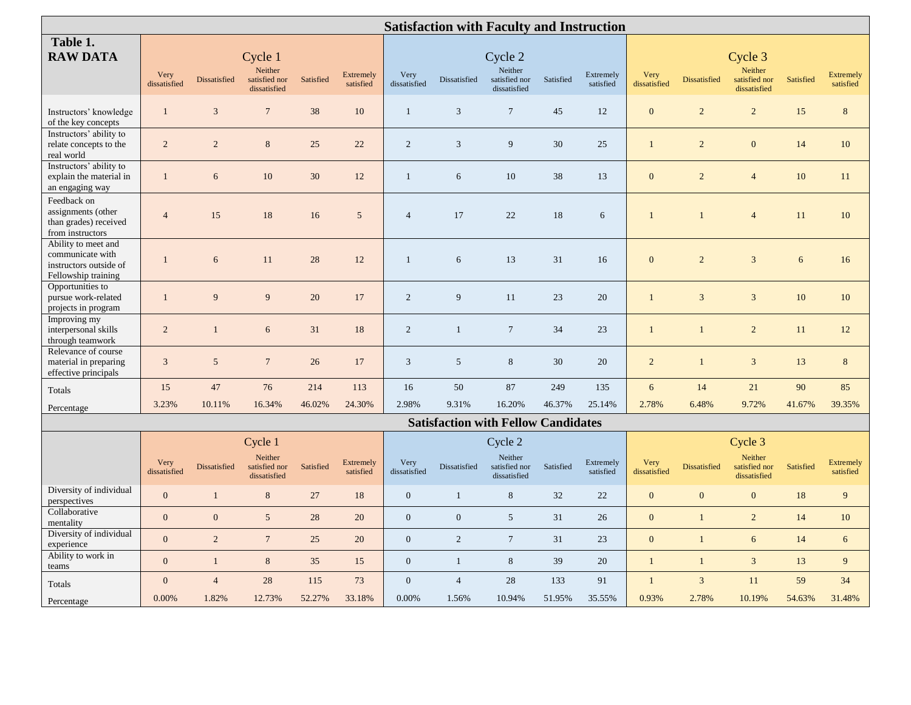| <b>Satisfaction with Faculty and Instruction</b>                                         |                      |                  |                                                     |           |                               |                      |                |                                                     |           |                        |                      |                |                                                     |            |                               |
|------------------------------------------------------------------------------------------|----------------------|------------------|-----------------------------------------------------|-----------|-------------------------------|----------------------|----------------|-----------------------------------------------------|-----------|------------------------|----------------------|----------------|-----------------------------------------------------|------------|-------------------------------|
| Table 1.<br><b>RAW DATA</b>                                                              | Very<br>dissatisfied | Dissatisfied     | Cycle 1<br>Neither<br>satisfied nor<br>dissatisfied | Satisfied | <b>Extremely</b><br>satisfied | Very<br>dissatisfied | Dissatisfied   | Cycle 2<br>Neither<br>satisfied nor<br>dissatisfied | Satisfied | Extremely<br>satisfied | Very<br>dissatisfied | Dissatisfied   | Cycle 3<br>Neither<br>satisfied nor<br>dissatisfied | Satisfied  | <b>Extremely</b><br>satisfied |
| Instructors' knowledge<br>of the key concepts                                            | $\mathbf{1}$         | 3                | $7\phantom{.0}$                                     | 38        | 10                            | $\mathbf{1}$         | 3              | $\tau$                                              | 45        | 12                     | $\mathbf{0}$         | $\overline{2}$ | $\overline{2}$                                      | 15         | 8                             |
| Instructors' ability to<br>relate concepts to the<br>real world                          | $\overline{2}$       | $\overline{2}$   | $8\,$                                               | 25        | 22                            | 2                    | 3              | 9                                                   | 30        | 25                     | $\mathbf{1}$         | 2              | $\mathbf{0}$                                        | 14         | 10                            |
| Instructors' ability to<br>explain the material in<br>an engaging way                    | $\mathbf{1}$         | $\sqrt{6}$       | $10\,$                                              | $30\,$    | 12                            | $\mathbf{1}$         | $\sqrt{6}$     | $10\,$                                              | 38        | 13                     | $\mathbf{0}$         | $\overline{2}$ | $\overline{4}$                                      | 10         | 11                            |
| Feedback on<br>assignments (other<br>than grades) received<br>from instructors           | $\overline{4}$       | 15               | 18                                                  | 16        | $\overline{5}$                | $\overline{4}$       | 17             | 22                                                  | 18        | 6                      | $\mathbf{1}$         | $\mathbf{1}$   | $\overline{4}$                                      | 11         | 10                            |
| Ability to meet and<br>communicate with<br>instructors outside of<br>Fellowship training | $\mathbf{1}$         | $\sqrt{6}$       | $11\,$                                              | $28\,$    | 12                            | $\mathbf{1}$         | 6              | 13                                                  | 31        | 16                     | $\boldsymbol{0}$     | $\sqrt{2}$     | $\overline{3}$                                      | $\sqrt{6}$ | 16                            |
| Opportunities to<br>pursue work-related<br>projects in program                           | $\mathbf{1}$         | 9                | 9                                                   | $20\,$    | 17                            | $\overline{2}$       | 9              | 11                                                  | 23        | 20                     | $\mathbf{1}$         | $\overline{3}$ | $\overline{3}$                                      | $10\,$     | 10                            |
| Improving my<br>interpersonal skills<br>through teamwork                                 | $\overline{c}$       |                  | $6\phantom{.}6$                                     | 31        | 18                            | $\sqrt{2}$           | $\mathbf{1}$   | $\tau$                                              | 34        | 23                     | $\mathbf{1}$         | $\mathbf{1}$   | $\overline{c}$                                      | 11         | 12                            |
| Relevance of course<br>material in preparing<br>effective principals                     | 3                    | 5                | $\overline{7}$                                      | 26        | 17                            | $\mathbf{3}$         | 5              | 8                                                   | 30        | 20                     | $\overline{2}$       | $\mathbf{1}$   | $\overline{3}$                                      | 13         | 8                             |
| Totals                                                                                   | 15                   | 47               | 76                                                  | 214       | 113                           | 16                   | 50             | $87\,$                                              | 249       | 135                    | $\sqrt{6}$           | 14             | 21                                                  | 90         | 85                            |
| Percentage                                                                               | 3.23%                | 10.11%           | 16.34%                                              | 46.02%    | 24.30%                        | 2.98%                | 9.31%          | 16.20%                                              | 46.37%    | 25.14%                 | 2.78%                | 6.48%          | 9.72%                                               | 41.67%     | 39.35%                        |
|                                                                                          |                      |                  |                                                     |           |                               |                      |                | <b>Satisfaction with Fellow Candidates</b>          |           |                        |                      |                |                                                     |            |                               |
|                                                                                          | Cycle 1              |                  |                                                     |           |                               | Cycle 2              |                |                                                     |           |                        | Cycle 3              |                |                                                     |            |                               |
|                                                                                          | Very<br>dissatisfied | Dissatisfied     | Neither<br>satisfied nor<br>dissatisfied            | Satisfied | <b>Extremely</b><br>satisfied | Very<br>dissatisfied | Dissatisfied   | Neither<br>satisfied nor<br>dissatisfied            | Satisfied | Extremely<br>satisfied | Very<br>dissatisfied | Dissatisfied   | Neither<br>satisfied nor<br>dissatisfied            | Satisfied  | Extremely<br>satisfied        |
| Diversity of individual<br>perspectives                                                  | $\mathbf{0}$         | $\mathbf{1}$     | $8\,$                                               | 27        | 18                            | $\mathbf{0}$         | $\mathbf{1}$   | $\,8\,$                                             | 32        | 22                     | $\boldsymbol{0}$     | $\overline{0}$ | $\mathbf{0}$                                        | 18         | 9                             |
| Collaborative<br>mentality                                                               | $\overline{0}$       | $\boldsymbol{0}$ | $5\overline{)}$                                     | 28        | 20                            | $\mathbf{0}$         | $\mathbf{0}$   | $\mathfrak{S}$                                      | 31        | 26                     | $\overline{0}$       | $\overline{1}$ | $\overline{c}$                                      | 14         | $10\,$                        |
| Diversity of individual<br>experience                                                    | $\Omega$             | 2                | $7\phantom{.0}$                                     | 25        | 20                            | $\overline{0}$       | $\overline{2}$ | $7\phantom{.0}$                                     | 31        | 23                     | $\overline{0}$       | $\mathbf{1}$   | 6                                                   | 14         | 6                             |
| Ability to work in<br>teams                                                              | $\mathbf{0}$         | $\mathbf{1}$     | $\,8\,$                                             | 35        | 15                            | $\boldsymbol{0}$     | $\mathbf{1}$   | $\,8\,$                                             | 39        | 20                     | $\mathbf{1}$         | $\mathbf{1}$   | $\overline{3}$                                      | 13         | $\overline{9}$                |
| Totals                                                                                   | $\Omega$             | $\overline{4}$   | 28                                                  | 115       | 73                            | $\boldsymbol{0}$     | $\overline{4}$ | 28                                                  | 133       | 91                     | $\mathbf{1}$         | $\mathfrak{Z}$ | 11                                                  | 59         | 34                            |
| Percentage                                                                               | 0.00%                | 1.82%            | 12.73%                                              | 52.27%    | 33.18%                        | 0.00%                | 1.56%          | 10.94%                                              | 51.95%    | 35.55%                 | 0.93%                | 2.78%          | 10.19%                                              | 54.63%     | 31.48%                        |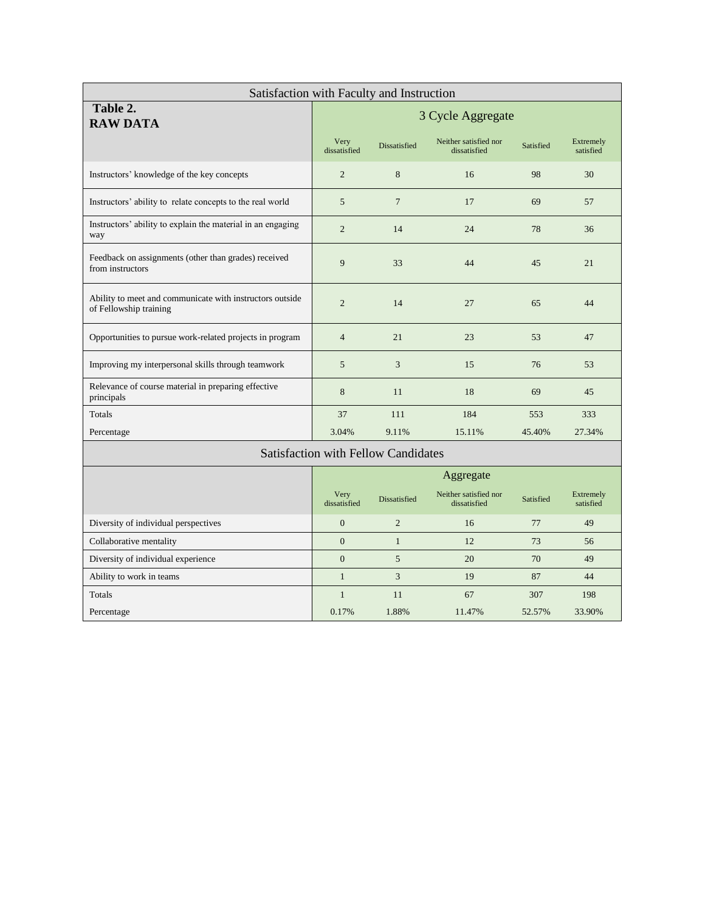| Satisfaction with Faculty and Instruction                                          |                      |                 |                                       |           |                               |  |  |  |  |
|------------------------------------------------------------------------------------|----------------------|-----------------|---------------------------------------|-----------|-------------------------------|--|--|--|--|
| Table 2.<br><b>RAW DATA</b>                                                        | 3 Cycle Aggregate    |                 |                                       |           |                               |  |  |  |  |
|                                                                                    | Very<br>dissatisfied | Dissatisfied    | Neither satisfied nor<br>dissatisfied | Satisfied | Extremely<br>satisfied        |  |  |  |  |
| Instructors' knowledge of the key concepts                                         | $\overline{2}$       | 8               | 16                                    | 98        | 30                            |  |  |  |  |
| Instructors' ability to relate concepts to the real world                          | 5                    | $7\phantom{.0}$ | 17                                    | 69        | 57                            |  |  |  |  |
| Instructors' ability to explain the material in an engaging<br>way                 | $\overline{2}$       | 14              | 78                                    | 36        |                               |  |  |  |  |
| Feedback on assignments (other than grades) received<br>from instructors           | 9                    | 33<br>44        |                                       |           | 21                            |  |  |  |  |
| Ability to meet and communicate with instructors outside<br>of Fellowship training | $\overline{2}$       | 14              | 27                                    | 65        | 44                            |  |  |  |  |
| Opportunities to pursue work-related projects in program                           | $\overline{4}$       | 21              | 23                                    | 53        | 47                            |  |  |  |  |
| Improving my interpersonal skills through teamwork                                 | 5                    | 3               | 15                                    | 76        | 53                            |  |  |  |  |
| Relevance of course material in preparing effective<br>principals                  | 8                    | 11              | 18                                    | 69        | 45                            |  |  |  |  |
| Totals                                                                             | 37                   | 111             | 184                                   | 553       | 333                           |  |  |  |  |
| Percentage                                                                         | 3.04%                | 9.11%           | 15.11%                                | 45.40%    | 27.34%                        |  |  |  |  |
| <b>Satisfaction with Fellow Candidates</b>                                         |                      |                 |                                       |           |                               |  |  |  |  |
|                                                                                    | Aggregate            |                 |                                       |           |                               |  |  |  |  |
|                                                                                    | Very<br>dissatisfied | Dissatisfied    | Neither satisfied nor<br>dissatisfied | Satisfied | <b>Extremely</b><br>satisfied |  |  |  |  |
| Diversity of individual perspectives                                               | $\mathbf{0}$         | $\overline{2}$  | 16                                    | 77        | 49                            |  |  |  |  |
| Collaborative mentality                                                            | $\boldsymbol{0}$     | $\mathbf{1}$    | 12                                    | 73        | 56                            |  |  |  |  |
| Diversity of individual experience                                                 | $\boldsymbol{0}$     | 5               | 20                                    | 70        | 49                            |  |  |  |  |
| Ability to work in teams                                                           | $\mathbf{1}$         | 3               | 19                                    | 87        | 44                            |  |  |  |  |

Totals 1 11  $11$  67  $307$  198 Percentage 1.1.47% 52.57% 33.90% 1.88% 1.47% 52.57% 33.90%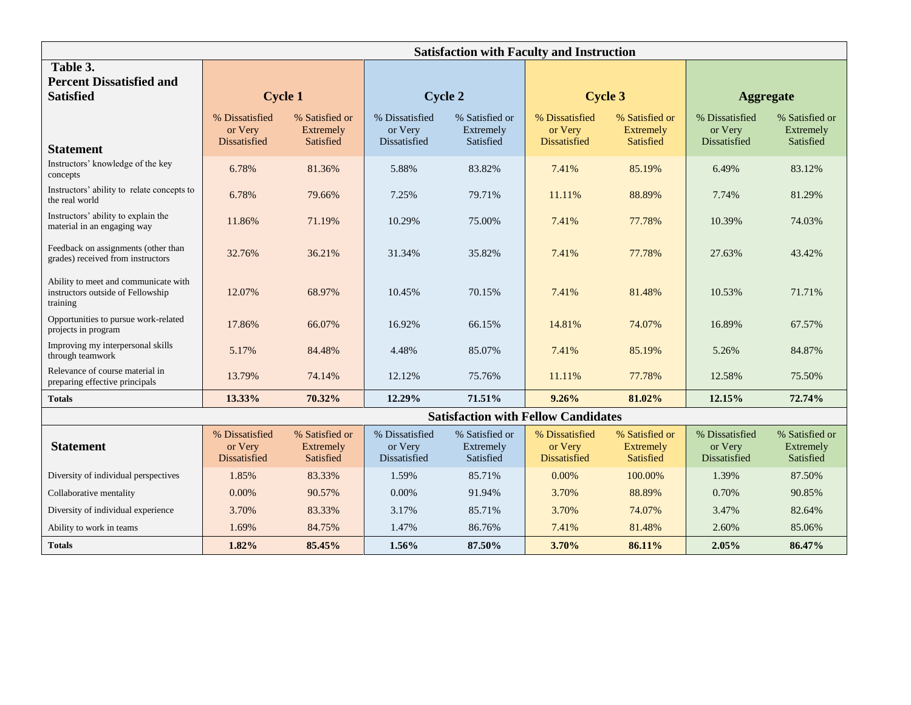|                                                                                       | <b>Satisfaction with Faculty and Instruction</b> |                                                 |                                           |                                          |                                                  |                                          |                                                  |                                          |  |  |
|---------------------------------------------------------------------------------------|--------------------------------------------------|-------------------------------------------------|-------------------------------------------|------------------------------------------|--------------------------------------------------|------------------------------------------|--------------------------------------------------|------------------------------------------|--|--|
| Table 3.<br><b>Percent Dissatisfied and</b><br><b>Satisfied</b>                       | <b>Cycle 1</b>                                   |                                                 | <b>Cycle 2</b>                            |                                          | <b>Cycle 3</b>                                   |                                          | <b>Aggregate</b>                                 |                                          |  |  |
| <b>Statement</b>                                                                      | % Dissatisfied<br>or Very<br>Dissatisfied        | % Satisfied or<br>Extremely<br>Satisfied        | % Dissatisfied<br>or Very<br>Dissatisfied | % Satisfied or<br>Extremely<br>Satisfied | % Dissatisfied<br>or Very<br><b>Dissatisfied</b> | % Satisfied or<br>Extremely<br>Satisfied | % Dissatisfied<br>or Very<br>Dissatisfied        | % Satisfied or<br>Extremely<br>Satisfied |  |  |
| Instructors' knowledge of the key<br>concepts                                         | 6.78%                                            | 81.36%                                          | 5.88%                                     | 83.82%                                   | 7.41%                                            | 85.19%                                   | 6.49%                                            | 83.12%                                   |  |  |
| Instructors' ability to relate concepts to<br>the real world                          | 6.78%                                            | 79.66%                                          | 7.25%                                     | 79.71%                                   | 11.11%                                           | 88.89%                                   | 7.74%                                            | 81.29%                                   |  |  |
| Instructors' ability to explain the<br>material in an engaging way                    | 11.86%                                           | 71.19%                                          | 10.29%                                    | 75.00%                                   | 7.41%                                            | 77.78%                                   | 10.39%                                           | 74.03%                                   |  |  |
| Feedback on assignments (other than<br>grades) received from instructors              | 32.76%                                           | 36.21%                                          | 31.34%                                    | 35.82%                                   | 7.41%                                            | 77.78%                                   | 27.63%                                           | 43.42%                                   |  |  |
| Ability to meet and communicate with<br>instructors outside of Fellowship<br>training | 12.07%                                           | 68.97%                                          | 10.45%                                    | 70.15%                                   | 7.41%                                            | 81.48%                                   | 10.53%                                           | 71.71%                                   |  |  |
| Opportunities to pursue work-related<br>projects in program                           | 17.86%                                           | 66.07%                                          | 16.92%                                    | 66.15%                                   | 14.81%                                           | 74.07%                                   | 16.89%                                           | 67.57%                                   |  |  |
| Improving my interpersonal skills<br>through teamwork                                 | 5.17%                                            | 84.48%                                          | 4.48%                                     | 85.07%                                   | 7.41%                                            | 85.19%                                   | 5.26%                                            | 84.87%                                   |  |  |
| Relevance of course material in<br>preparing effective principals                     | 13.79%                                           | 74.14%                                          | 12.12%                                    | 75.76%                                   | 11.11%                                           | 77.78%                                   | 12.58%                                           | 75.50%                                   |  |  |
| <b>Totals</b>                                                                         | 13.33%                                           | 70.32%                                          | 12.29%                                    | 71.51%                                   | 9.26%                                            | 81.02%                                   | 12.15%                                           | 72.74%                                   |  |  |
|                                                                                       |                                                  |                                                 |                                           |                                          | <b>Satisfaction with Fellow Candidates</b>       |                                          |                                                  |                                          |  |  |
| <b>Statement</b>                                                                      | % Dissatisfied<br>or Very<br><b>Dissatisfied</b> | % Satisfied or<br><b>Extremely</b><br>Satisfied | % Dissatisfied<br>or Very<br>Dissatisfied | % Satisfied or<br>Extremely<br>Satisfied | % Dissatisfied<br>or Very<br><b>Dissatisfied</b> | % Satisfied or<br>Extremely<br>Satisfied | % Dissatisfied<br>or Very<br><b>Dissatisfied</b> | % Satisfied or<br>Extremely<br>Satisfied |  |  |
| Diversity of individual perspectives                                                  | 1.85%                                            | 83.33%                                          | 1.59%                                     | 85.71%                                   | 0.00%                                            | 100.00%                                  | 1.39%                                            | 87.50%                                   |  |  |
| Collaborative mentality                                                               | 0.00%                                            | 90.57%                                          | 0.00%                                     | 91.94%                                   | 3.70%                                            | 88.89%                                   | 0.70%                                            | 90.85%                                   |  |  |
| Diversity of individual experience                                                    | 3.70%                                            | 83.33%                                          | 3.17%                                     | 85.71%                                   | 3.70%                                            | 74.07%                                   | 3.47%                                            | 82.64%                                   |  |  |
| Ability to work in teams                                                              | 1.69%                                            | 84.75%                                          | 1.47%                                     | 86.76%                                   | 7.41%                                            | 81.48%                                   | 2.60%                                            | 85.06%                                   |  |  |
| <b>Totals</b>                                                                         | 1.82%                                            | 85.45%                                          | 1.56%                                     | 87.50%                                   | 3.70%                                            | 86.11%                                   | 2.05%                                            | 86.47%                                   |  |  |